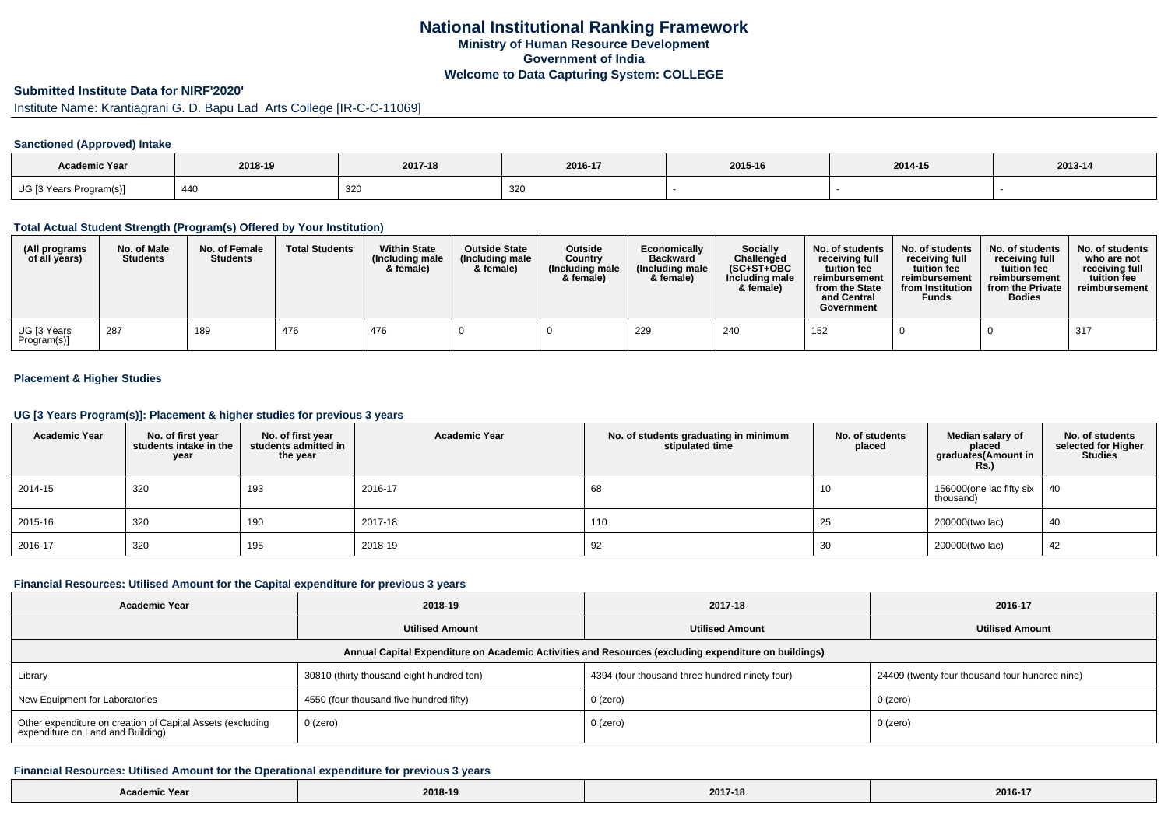### **Submitted Institute Data for NIRF'2020'**

# Institute Name: Krantiagrani G. D. Bapu Lad Arts College [IR-C-C-11069]

#### **Sanctioned (Approved) Intake**

| Academic Year           | 2018-19 | 2017-18 | 2016-17 | 2015-16 | 2014-15 | 2013-14 |
|-------------------------|---------|---------|---------|---------|---------|---------|
| UG [3 Years Program(s)] | -440    | 320     | -320    |         |         |         |

### **Total Actual Student Strength (Program(s) Offered by Your Institution)**

| (All programs<br>of all years) | No. of Male<br><b>Students</b> | No. of Female<br><b>Students</b> | <b>Total Students</b> | <b>Within State</b><br>(Including male)<br>& female) | <b>Outside State</b><br>(Including male<br>& female) | Outside<br>Country<br>(Including male)<br>& female) | Economically<br><b>Backward</b><br>(Including male)<br>& female) | <b>Socially</b><br>Challenged<br>$(SC+ST+OBC)$<br>Including male<br>& female) | No. of students<br>receivina full<br>tuition fee<br>reimbursement<br>from the State<br>and Central<br>Government | No. of students<br>receiving full<br>tuition fee<br>reimbursement<br>from Institution<br><b>Funds</b> | No. of students<br>receiving full<br>tuition fee<br>reimbursement<br>from the Private<br><b>Bodies</b> | No. of students<br>who are not<br>receivina full<br>tuition fee<br>reimbursement |
|--------------------------------|--------------------------------|----------------------------------|-----------------------|------------------------------------------------------|------------------------------------------------------|-----------------------------------------------------|------------------------------------------------------------------|-------------------------------------------------------------------------------|------------------------------------------------------------------------------------------------------------------|-------------------------------------------------------------------------------------------------------|--------------------------------------------------------------------------------------------------------|----------------------------------------------------------------------------------|
| UG [3 Years<br>Program(s)]     | 287                            | 189                              | 476                   | 476                                                  |                                                      |                                                     | 229                                                              | 240                                                                           | 152                                                                                                              |                                                                                                       |                                                                                                        | 317                                                                              |

### **Placement & Higher Studies**

### **UG [3 Years Program(s)]: Placement & higher studies for previous 3 years**

| <b>Academic Year</b> | No. of first year<br>students intake in the<br>vear | No. of first year<br>students admitted in<br>the year | <b>Academic Year</b> | No. of students graduating in minimum<br>stipulated time | No. of students<br>placed | Median salary of<br>placed<br>graduates(Amount in<br><b>Rs.)</b> | No. of students<br>selected for Higher<br><b>Studies</b> |
|----------------------|-----------------------------------------------------|-------------------------------------------------------|----------------------|----------------------------------------------------------|---------------------------|------------------------------------------------------------------|----------------------------------------------------------|
| 2014-15              | 320                                                 | 193                                                   | 2016-17              | 68                                                       | 10                        | 156000(one lac fifty six<br>thousand)                            | 40                                                       |
| 2015-16              | 320                                                 | 190                                                   | 2017-18              | 110                                                      | 25                        | 200000(two lac)                                                  | 40                                                       |
| 2016-17              | 320                                                 | 195                                                   | 2018-19              | 92                                                       | 30                        | 200000(two lac)                                                  | 42                                                       |

#### **Financial Resources: Utilised Amount for the Capital expenditure for previous 3 years**

| <b>Academic Year</b>                                                                                 | 2018-19                                   | 2017-18                                        | 2016-17                                        |  |  |  |  |  |  |
|------------------------------------------------------------------------------------------------------|-------------------------------------------|------------------------------------------------|------------------------------------------------|--|--|--|--|--|--|
|                                                                                                      | <b>Utilised Amount</b>                    | <b>Utilised Amount</b>                         | <b>Utilised Amount</b>                         |  |  |  |  |  |  |
| Annual Capital Expenditure on Academic Activities and Resources (excluding expenditure on buildings) |                                           |                                                |                                                |  |  |  |  |  |  |
| Library                                                                                              | 30810 (thirty thousand eight hundred ten) | 4394 (four thousand three hundred ninety four) | 24409 (twenty four thousand four hundred nine) |  |  |  |  |  |  |
| New Equipment for Laboratories                                                                       | 4550 (four thousand five hundred fifty)   | 0 (zero)                                       | 0 (zero)                                       |  |  |  |  |  |  |
| Other expenditure on creation of Capital Assets (excluding<br>expenditure on Land and Building)      | 0 (zero)                                  | 0 (zero)                                       | 0 (zero)                                       |  |  |  |  |  |  |

#### **Financial Resources: Utilised Amount for the Operational expenditure for previous 3 years**

| <b>Academic Year</b> | 2018-19 | 2017-18 | 2016-17 |
|----------------------|---------|---------|---------|
|----------------------|---------|---------|---------|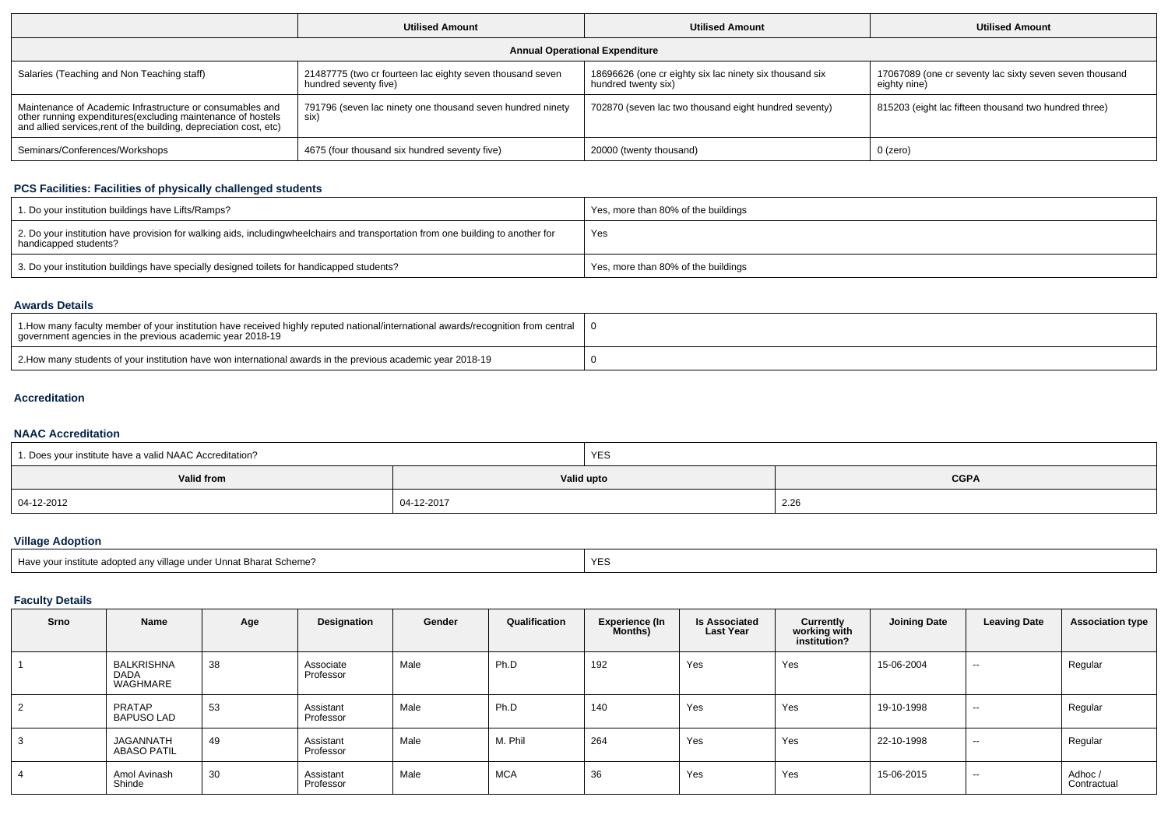|                                                                                                                                                                                                 | <b>Utilised Amount</b>                                                             | <b>Utilised Amount</b>                                                         | <b>Utilised Amount</b>                                                  |  |
|-------------------------------------------------------------------------------------------------------------------------------------------------------------------------------------------------|------------------------------------------------------------------------------------|--------------------------------------------------------------------------------|-------------------------------------------------------------------------|--|
|                                                                                                                                                                                                 |                                                                                    | <b>Annual Operational Expenditure</b>                                          |                                                                         |  |
| Salaries (Teaching and Non Teaching staff)                                                                                                                                                      | 21487775 (two cr fourteen lac eighty seven thousand seven<br>hundred seventy five) | 18696626 (one cr eighty six lac ninety six thousand six<br>hundred twenty six) | 17067089 (one cr seventy lac sixty seven seven thousand<br>eighty nine) |  |
| Maintenance of Academic Infrastructure or consumables and<br>other running expenditures (excluding maintenance of hostels<br>and allied services, rent of the building, depreciation cost, etc) | 791796 (seven lac ninety one thousand seven hundred ninety<br>six)                 | 702870 (seven lac two thousand eight hundred seventy)                          | 815203 (eight lac fifteen thousand two hundred three)                   |  |
| Seminars/Conferences/Workshops                                                                                                                                                                  | 4675 (four thousand six hundred seventy five)                                      | 20000 (twenty thousand)                                                        | 0 (zero)                                                                |  |

## **PCS Facilities: Facilities of physically challenged students**

| 1. Do your institution buildings have Lifts/Ramps?                                                                                                        | Yes, more than 80% of the buildings |
|-----------------------------------------------------------------------------------------------------------------------------------------------------------|-------------------------------------|
| 2. Do your institution have provision for walking aids, includingwheelchairs and transportation from one building to another for<br>handicapped students? | Yes                                 |
| 3. Do your institution buildings have specially designed toilets for handicapped students?                                                                | Yes, more than 80% of the buildings |

### **Awards Details**

| 1. How many faculty member of your institution have received highly reputed national/international awards/recognition from central<br>government agencies in the previous academic year 2018-19 |  |
|-------------------------------------------------------------------------------------------------------------------------------------------------------------------------------------------------|--|
| 2. How many students of your institution have won international awards in the previous academic year 2018-19                                                                                    |  |

### **Accreditation**

### **NAAC Accreditation**

| <sup>1</sup> 1. Does your institute have a valid NAAC Accreditation? |            | <b>YES</b>  |                       |  |  |
|----------------------------------------------------------------------|------------|-------------|-----------------------|--|--|
| Valid from                                                           | Valid upto | <b>CGPA</b> |                       |  |  |
| 04-12-2012                                                           | 04-12-2017 |             | $\sim$ $\sim$<br>2.ZD |  |  |

# **Village Adoption**

| Have your institute adopted any village under Unnat Bharat Scheme? | $\sqrt{2}$<br>YES |
|--------------------------------------------------------------------|-------------------|
|--------------------------------------------------------------------|-------------------|

## **Faculty Details**

| Srno | Name                                   | Age | Designation            | Gender | Qualification | <b>Experience (In</b><br><b>Months)</b> | <b>Is Associated</b><br><b>Last Year</b> | Currently<br>working with<br>institution? | <b>Joining Date</b> | <b>Leaving Date</b> | <b>Association type</b> |
|------|----------------------------------------|-----|------------------------|--------|---------------|-----------------------------------------|------------------------------------------|-------------------------------------------|---------------------|---------------------|-------------------------|
|      | BALKRISHNA<br><b>DADA</b><br>WAGHMARE  | 38  | Associate<br>Professor | Male   | Ph.D          | 192                                     | Yes                                      | Yes                                       | 15-06-2004          | $\sim$              | Regular                 |
| 2    | PRATAP<br><b>BAPUSO LAD</b>            | 53  | Assistant<br>Professor | Male   | Ph.D          | 140                                     | Yes                                      | Yes                                       | 19-10-1998          | $\sim$              | Regular                 |
|      | <b>JAGANNATH</b><br><b>ABASO PATIL</b> | 49  | Assistant<br>Professor | Male   | M. Phil       | 264                                     | Yes                                      | Yes                                       | 22-10-1998          | $\sim$              | Regular                 |
|      | Amol Avinash<br>Shinde                 | 30  | Assistant<br>Professor | Male   | <b>MCA</b>    | 36                                      | Yes                                      | Yes                                       | 15-06-2015          | $\sim$              | Adhoc /<br>Contractual  |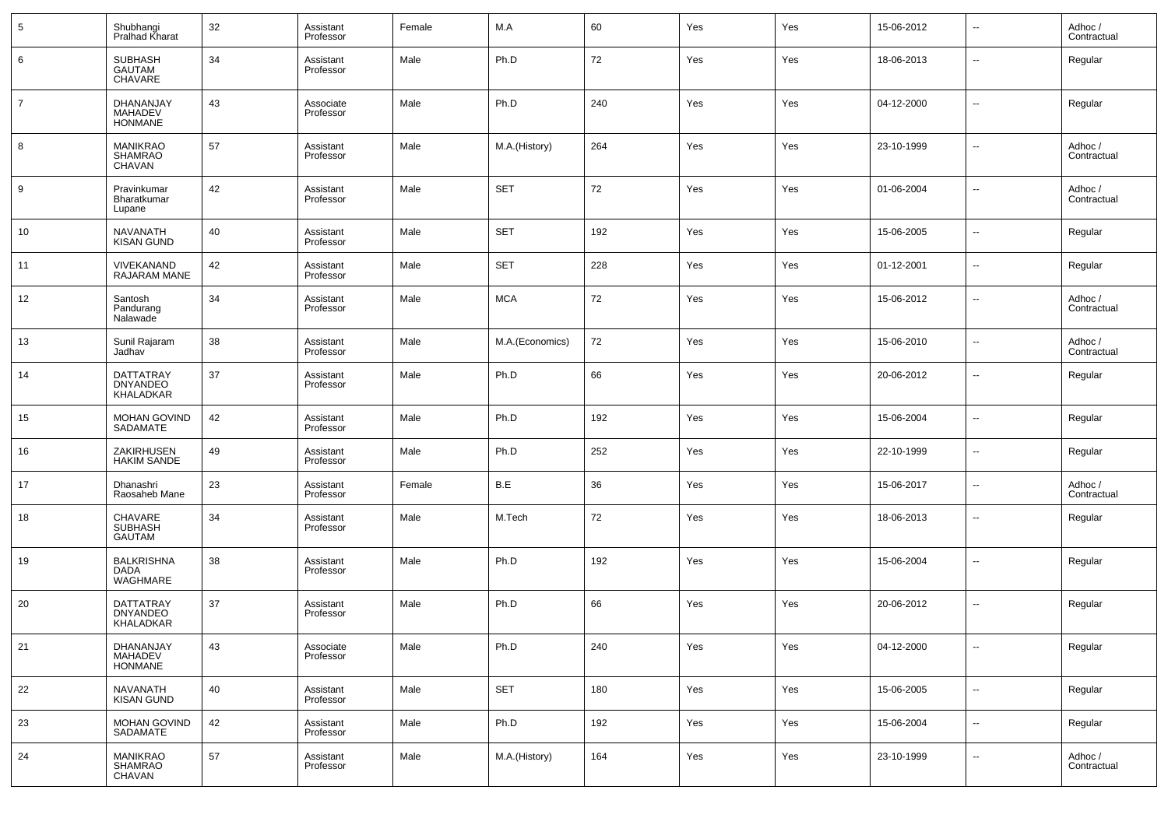| 5              | Shubhangi<br>Pralhad Kharat                 | 32 | Assistant<br>Professor | Female | M.A             | 60  | Yes | Yes | 15-06-2012 | $\overline{\phantom{a}}$ | Adhoc /<br>Contractual |
|----------------|---------------------------------------------|----|------------------------|--------|-----------------|-----|-----|-----|------------|--------------------------|------------------------|
| 6              | SUBHASH<br>GAUTAM<br>CHAVARE                | 34 | Assistant<br>Professor | Male   | Ph.D            | 72  | Yes | Yes | 18-06-2013 | $\overline{\phantom{a}}$ | Regular                |
| $\overline{7}$ | DHANANJAY<br>MAHADEV<br><b>HONMANE</b>      | 43 | Associate<br>Professor | Male   | Ph.D            | 240 | Yes | Yes | 04-12-2000 | $\sim$                   | Regular                |
| 8              | <b>MANIKRAO</b><br>SHAMRAO<br><b>CHAVAN</b> | 57 | Assistant<br>Professor | Male   | M.A.(History)   | 264 | Yes | Yes | 23-10-1999 | $\ddotsc$                | Adhoc /<br>Contractual |
| 9              | Pravinkumar<br>Bharatkumar<br>Lupane        | 42 | Assistant<br>Professor | Male   | <b>SET</b>      | 72  | Yes | Yes | 01-06-2004 | $\overline{\phantom{a}}$ | Adhoc /<br>Contractual |
| 10             | <b>NAVANATH</b><br><b>KISAN GUND</b>        | 40 | Assistant<br>Professor | Male   | <b>SET</b>      | 192 | Yes | Yes | 15-06-2005 | $\overline{\phantom{a}}$ | Regular                |
| 11             | VIVEKANAND<br>RAJARAM MANE                  | 42 | Assistant<br>Professor | Male   | <b>SET</b>      | 228 | Yes | Yes | 01-12-2001 | $\sim$                   | Regular                |
| 12             | Santosh<br>Pandurang<br>Nalawade            | 34 | Assistant<br>Professor | Male   | <b>MCA</b>      | 72  | Yes | Yes | 15-06-2012 | $\overline{\phantom{a}}$ | Adhoc /<br>Contractual |
| 13             | Sunil Rajaram<br>Jadhav                     | 38 | Assistant<br>Professor | Male   | M.A.(Economics) | 72  | Yes | Yes | 15-06-2010 | $\sim$                   | Adhoc /<br>Contractual |
| 14             | DATTATRAY<br>DNYANDEO<br>KHALADKAR          | 37 | Assistant<br>Professor | Male   | Ph.D            | 66  | Yes | Yes | 20-06-2012 | $\ddotsc$                | Regular                |
| 15             | MOHAN GOVIND<br>SADAMATE                    | 42 | Assistant<br>Professor | Male   | Ph.D            | 192 | Yes | Yes | 15-06-2004 | $\overline{\phantom{a}}$ | Regular                |
| 16             | ZAKIRHUSEN<br><b>HAKIM SANDE</b>            | 49 | Assistant<br>Professor | Male   | Ph.D            | 252 | Yes | Yes | 22-10-1999 | $\overline{\phantom{a}}$ | Regular                |
| 17             | Dhanashri<br>Raosaheb Mane                  | 23 | Assistant<br>Professor | Female | B.E             | 36  | Yes | Yes | 15-06-2017 | $\overline{\phantom{a}}$ | Adhoc /<br>Contractual |
| 18             | CHAVARE<br><b>SUBHASH</b><br><b>GAUTAM</b>  | 34 | Assistant<br>Professor | Male   | M.Tech          | 72  | Yes | Yes | 18-06-2013 | $\overline{\phantom{a}}$ | Regular                |
| 19             | <b>BALKRISHNA</b><br>DADA<br>WAGHMARE       | 38 | Assistant<br>Professor | Male   | Ph.D            | 192 | Yes | Yes | 15-06-2004 | $\ddotsc$                | Regular                |
| 20             | DATTATRAY<br><b>DNYANDEO</b><br>KHALADKAR   | 37 | Assistant<br>Professor | Male   | Ph.D            | 66  | Yes | Yes | 20-06-2012 | $\ddotsc$                | Regular                |
| 21             | DHANANJAY<br>MAHADEV<br>HONMANE             | 43 | Associate<br>Professor | Male   | Ph.D            | 240 | Yes | Yes | 04-12-2000 | --                       | Regular                |
| 22             | <b>NAVANATH</b><br>KISAN GUND               | 40 | Assistant<br>Professor | Male   | <b>SET</b>      | 180 | Yes | Yes | 15-06-2005 | $\sim$                   | Regular                |
| 23             | MOHAN GOVIND<br>SADAMATE                    | 42 | Assistant<br>Professor | Male   | Ph.D            | 192 | Yes | Yes | 15-06-2004 | $\ddotsc$                | Regular                |
| 24             | <b>MANIKRAO</b><br>SHAMRAO<br>CHAVAN        | 57 | Assistant<br>Professor | Male   | M.A.(History)   | 164 | Yes | Yes | 23-10-1999 | $\overline{\phantom{a}}$ | Adhoc /<br>Contractual |